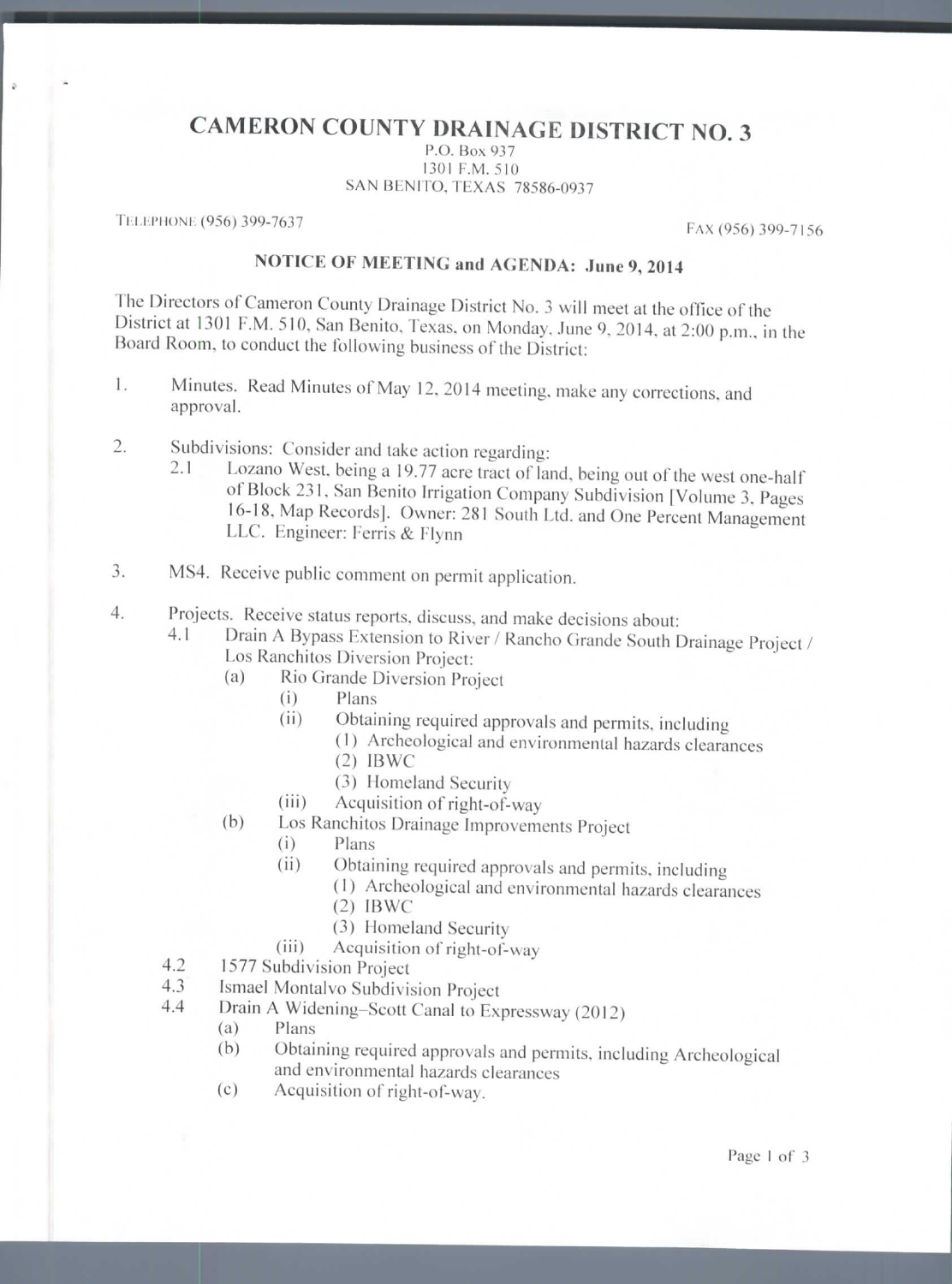## **CAMERON COUNTY DRAINAGE DISTRICT NO. 3**

P.O. Box 937 1301 P.M. 510 SAN BENITO, TEXAS 78586-0937

TELEPHONE (956) 399-7637 FAX (956) 399-7156

## **NOTICE OF MEETING and AGENDA: June 9, 2014**

The Directors of Cameron County Drainage District No. 3 will meet at the office of the District at 1301 P.M. 510, San Benito, Texas, on Monday. June 9, 2014, at 2:00 p.m., in the Board Room, to conduct the following business of the District:

- 1. Minutes. Read Minutes of May 12, 2014 meeting, make any corrections, and approval.
- 2. Subdivisions: Consider and take action regarding:
	- 2.1 Lozano West, being a 19.77 acre tract of land, being out of the west one-half of Block 231, San Benito Irrigation Company Subdivision [Volume 3. Pages 16-18, Map Records]. Owner: 281 South Ltd. and One Percent Management LLC. Engineer: Ferris & Hynn

3. MS4. Receive public comment on permit application.

- 4. Projects. Receive status reports, discuss, and make decisions about:
	- 4.1 Drain A Bypass Extension to River / Rancho Grande South Drainage Project / Los Ranchitos Diversion Project:
		- (a) Rio Grande Diversion Project
			- (i) Plans
			- (ii) Obtaining required approvals and permits, including (1) Archcological and environmental hazards clearances
				- (2) IBWC
				- (3) Homeland Security
			- (iii) Acquisition of right-of-way
		- (b) Los Ranchitos Drainage Improvements Project
			- (i) Plans
			- (ii) Obtaining required approvals and permits, including
				- (1) Archeological and environmental hazards clearances
				- (2) IBWC
				- (3) Homeland Security
			- (iii) Acquisition of right-of-way
	- 4.2 1577 Subdivision Project
	- 4.3 Ismael Montalvo Subdivision Project
	- 4.4 Drain A Widening-Scott Canal to Expressway (2012)
		- (a) Plans
		- (b) Obtaining required approvals and permits, including Archeological and environmental hazards clearances
		- (c) Acquisition of right-of-way.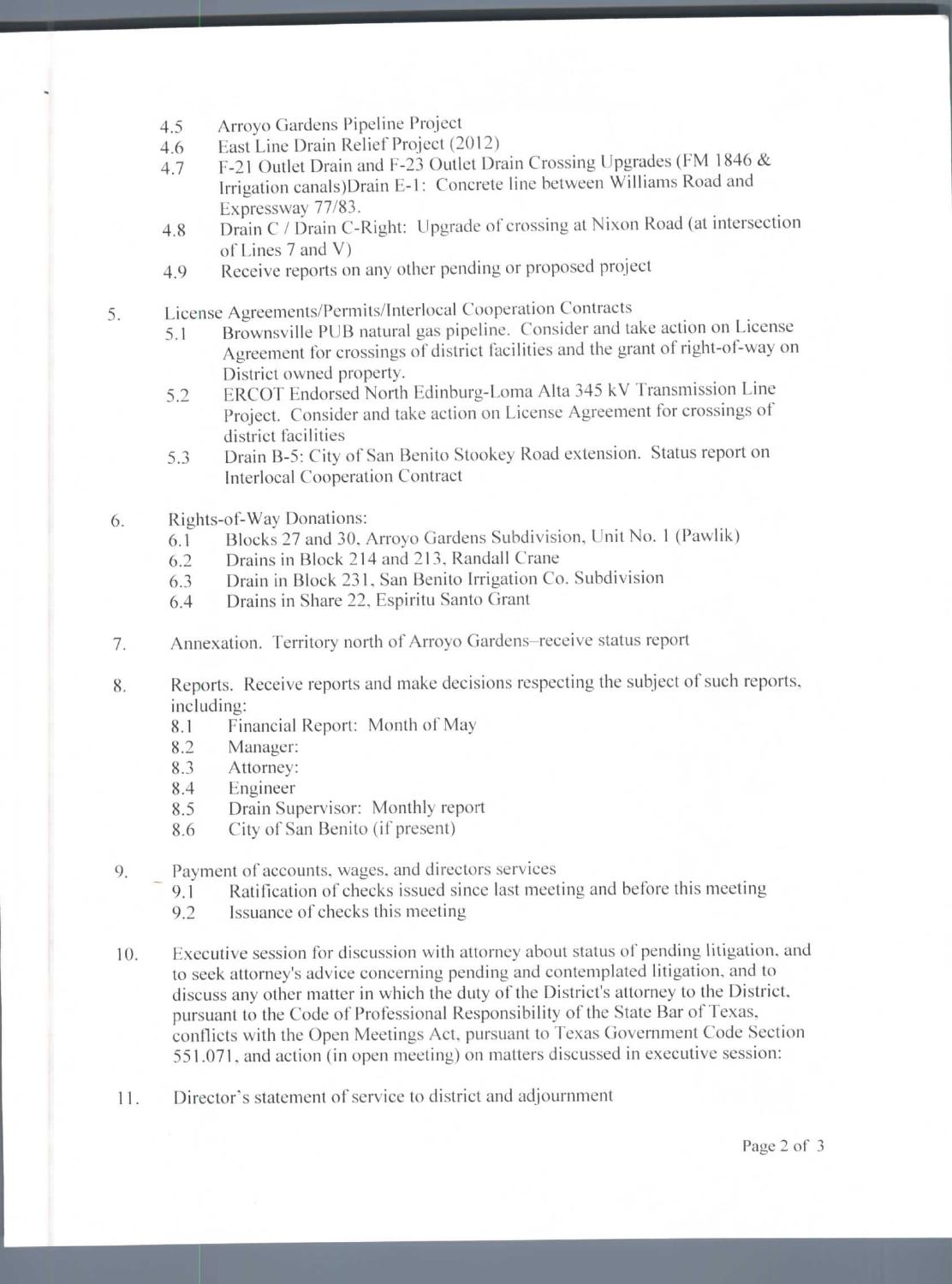- 4.5 Arroyo Gardens Pipeline Project
- 4.6 East Line Drain Relief Project (2012)
- 4.7 F-21 Outlet Drain and F-23 Outlet Drain Crossing Upgrades (FM 1846 & Irrigation canals)Drain E-l: Concrete line between Williams Road and Expressway 77/83.
- 4.8 Drain C / Drain C-Right: Upgrade of crossing at Nixon Road (at intersection of Lines 7 and V)
- 4.9 Receive reports on any other pending or proposed project
- 5. License Agreemcnts/Permits/lnterlocal Cooperation Contracts
	- 5.1 Brownsville PUB natural gas pipeline. Consider and take action on License Agreement for crossings of district facilities and the grant of right-of-way on District owned property.
	- 5.2 ERCOT Endorsed North Edinburg-Loma Alia 345 kV Transmission Line Project. Consider and take action on License Agreement for crossings of district facilities
	- 5.3 Drain B-5: City of San Benito Stookey Road extension. Status report on Interlocal Cooperation Contract
- 6. Rights-of-Way Donations:
	- 6.1 Blocks 27 and 30, Arroyo Gardens Subdivision, Unit No. 1 (Pawlik)
	- 6.2 Drains in Block 214 and 213, Randall Crane
	- 6.3 Drain in Block 231, San Benito Irrigation Co. Subdivision
	- 6.4 Drains in Share 22, Espiritu Santo Grant
- 7. Annexation. Territory north of Arroyo Gardens-receive status report
- 8. Reports. Receive reports and make decisions respecting the subject of such reports, including:
	- 8.1 Financial Report: Month of May
	- 8.2 Manager:
	- 8.3 Attorney:
	- 8.4 Engineer
	- 8.5 Drain Supervisor: Monthly report
	- 8.6 City of San Benito (if present)
- 9. Payment of accounts, wages, and directors services
	- 9.1 Ratification of checks issued since last meeting and before this meeting
	- 9.2 Issuance of checks this meeting
- 10. Executive session for discussion with attorney about status of pending litigation, and to seek attorney's advice concerning pending and contemplated litigation, and to discuss any other matter in which the duty of the District's attorney to the District, pursuant to the Code of Professional Responsibility of the State Bar of Texas, conflicts with the Open Meetings Act, pursuant to Texas Government Code Section 551.071. and action (in open meeting) on matters discussed in executive session:
- 11. Director's statement of service to district and adjournment